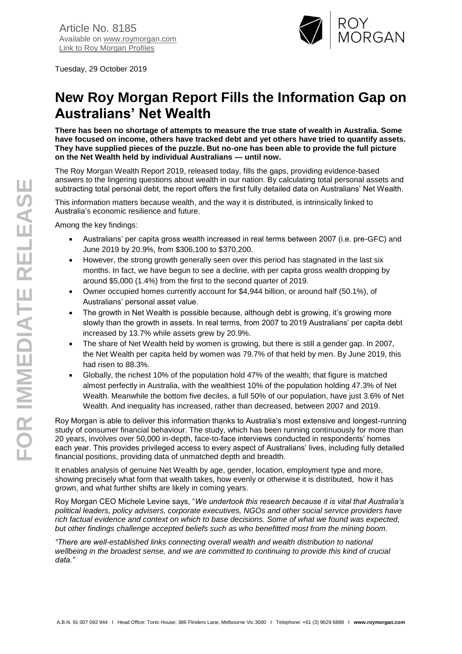

Tuesday, 29 October 2019

## **New Roy Morgan Report Fills the Information Gap on Australians' Net Wealth**

**There has been no shortage of attempts to measure the true state of wealth in Australia. Some have focused on income, others have tracked debt and yet others have tried to quantify assets. They have supplied pieces of the puzzle. But no-one has been able to provide the full picture on the Net Wealth held by individual Australians — until now.** 

The Roy Morgan Wealth Report 2019, released today, fills the gaps, providing evidence-based answers to the lingering questions about wealth in our nation. By calculating total personal assets and subtracting total personal debt, the report offers the first fully detailed data on Australians' Net Wealth.

This information matters because wealth, and the way it is distributed, is intrinsically linked to Australia's economic resilience and future.

Among the key findings:

- Australians' per capita gross wealth increased in real terms between 2007 (i.e. pre-GFC) and June 2019 by 20.9%, from \$306,100 to \$370,200.
- However, the strong growth generally seen over this period has stagnated in the last six months. In fact, we have begun to see a decline, with per capita gross wealth dropping by around \$5,000 (1.4%) from the first to the second quarter of 2019.
- Owner occupied homes currently account for \$4,944 billion, or around half (50.1%), of Australians' personal asset value.
- The growth in Net Wealth is possible because, although debt is growing, it's growing more slowly than the growth in assets. In real terms, from 2007 to 2019 Australians' per capita debt increased by 13.7% while assets grew by 20.9%.
- The share of Net Wealth held by women is growing, but there is still a gender gap. In 2007, the Net Wealth per capita held by women was 79.7% of that held by men. By June 2019, this had risen to 88.3%.
- Globally, the richest 10% of the population hold 47% of the wealth; that figure is matched almost perfectly in Australia, with the wealthiest 10% of the population holding 47.3% of Net Wealth. Meanwhile the bottom five deciles, a full 50% of our population, have just 3.6% of Net Wealth. And inequality has increased, rather than decreased, between 2007 and 2019.

Roy Morgan is able to deliver this information thanks to Australia's most extensive and longest-running study of consumer financial behaviour. The study, which has been running continuously for more than 20 years, involves over 50,000 in-depth, face-to-face interviews conducted in respondents' homes each year. This provides privileged access to every aspect of Australians' lives, including fully detailed financial positions, providing data of unmatched depth and breadth.

It enables analysis of genuine Net Wealth by age, gender, location, employment type and more, showing precisely what form that wealth takes, how evenly or otherwise it is distributed, how it has grown, and what further shifts are likely in coming years.

Roy Morgan CEO Michele Levine says, "*We undertook this research because it is vital that Australia's political leaders, policy advisers, corporate executives, NGOs and other social service providers have rich factual evidence and context on which to base decisions. Some of what we found was expected, but other findings challenge accepted beliefs such as who benefitted most from the mining boom.* 

*"There are well-established links connecting overall wealth and wealth distribution to national wellbeing in the broadest sense, and we are committed to continuing to provide this kind of crucial data."*